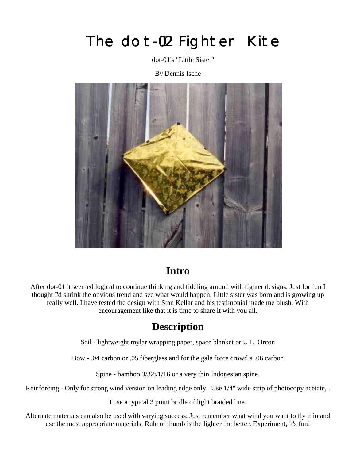# The dot-02 Fighter Kite

dot-01's "Little Sister"

By Dennis Ische



#### **Intro**

After dot-01 it seemed logical to continue thinking and fiddling around with fighter designs. Just for fun I thought I'd shrink the obvious trend and see what would happen. Little sister was born and is growing up really well. I have tested the design with Stan Kellar and his testimonial made me blush. With encouragement like that it is time to share it with you all.

### **Description**

Sail - lightweight mylar wrapping paper, space blanket or U.L. Orcon

Bow - .04 carbon or .05 fiberglass and for the gale force crowd a .06 carbon

Spine - bamboo 3/32x1/16 or a very thin Indonesian spine.

Reinforcing - Only for strong wind version on leading edge only. Use 1/4" wide strip of photocopy acetate, .

I use a typical 3 point bridle of light braided line.

Alternate materials can also be used with varying success. Just remember what wind you want to fly it in and use the most appropriate materials. Rule of thumb is the lighter the better. Experiment, it's fun!